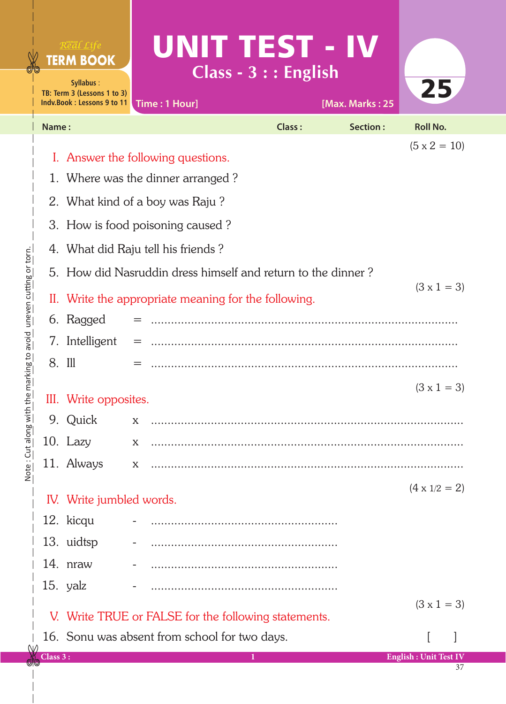|                                   | Real Life<br><b>TERM BOOK</b><br>Syllabus:<br>TB: Term 3 (Lessons 1 to 3)<br>Indy Book: Lessons 9 to 11 |                                                      | UNIT TEST - IV<br>Class - $3$ : : English<br>Time: 1 Hour]   |                    | [Max. Marks: 25 | 25                           |  |  |  |
|-----------------------------------|---------------------------------------------------------------------------------------------------------|------------------------------------------------------|--------------------------------------------------------------|--------------------|-----------------|------------------------------|--|--|--|
| Name:                             |                                                                                                         |                                                      |                                                              | Class:             | Section:        | <b>Roll No.</b>              |  |  |  |
|                                   |                                                                                                         |                                                      | I. Answer the following questions.                           |                    |                 | $(5 \times 2 = 10)$          |  |  |  |
| 1. Where was the dinner arranged? |                                                                                                         |                                                      |                                                              |                    |                 |                              |  |  |  |
|                                   |                                                                                                         |                                                      |                                                              |                    |                 |                              |  |  |  |
|                                   | 2. What kind of a boy was Raju?                                                                         |                                                      |                                                              |                    |                 |                              |  |  |  |
|                                   | 3. How is food poisoning caused?                                                                        |                                                      |                                                              |                    |                 |                              |  |  |  |
|                                   |                                                                                                         |                                                      | 4. What did Raju tell his friends?                           |                    |                 |                              |  |  |  |
|                                   |                                                                                                         |                                                      | 5. How did Nasruddin dress himself and return to the dinner? |                    |                 | $(3 \times 1 = 3)$           |  |  |  |
|                                   |                                                                                                         | II. Write the appropriate meaning for the following. |                                                              |                    |                 |                              |  |  |  |
|                                   | 6. Ragged                                                                                               |                                                      |                                                              |                    |                 |                              |  |  |  |
|                                   | 7. Intelligent                                                                                          |                                                      |                                                              |                    |                 |                              |  |  |  |
| 8. Ill                            |                                                                                                         |                                                      |                                                              |                    |                 |                              |  |  |  |
| Ш.                                | Write opposites.                                                                                        |                                                      |                                                              | $(3 \times 1 = 3)$ |                 |                              |  |  |  |
|                                   | 9. Quick                                                                                                | X                                                    |                                                              |                    |                 |                              |  |  |  |
|                                   | 10. Lazy                                                                                                | X                                                    |                                                              |                    |                 |                              |  |  |  |
|                                   | 11. Always                                                                                              | X                                                    |                                                              |                    |                 |                              |  |  |  |
|                                   |                                                                                                         |                                                      |                                                              |                    |                 | $(4 \times 1/2 = 2)$         |  |  |  |
|                                   | IV. Write jumbled words.                                                                                |                                                      |                                                              |                    |                 |                              |  |  |  |
|                                   | 12. kicqu                                                                                               |                                                      |                                                              |                    |                 |                              |  |  |  |
|                                   | 13. uidtsp                                                                                              |                                                      |                                                              |                    |                 |                              |  |  |  |
|                                   | 14. nraw                                                                                                |                                                      |                                                              |                    |                 |                              |  |  |  |
|                                   | 15. yalz                                                                                                |                                                      |                                                              |                    |                 |                              |  |  |  |
|                                   | $(3 \times 1 = 3)$<br>V. Write TRUE or FALSE for the following statements.                              |                                                      |                                                              |                    |                 |                              |  |  |  |
|                                   |                                                                                                         |                                                      | 16. Sonu was absent from school for two days.                |                    |                 |                              |  |  |  |
| Class 3:                          |                                                                                                         |                                                      | 1                                                            |                    |                 | <b>English: Unit Test IV</b> |  |  |  |